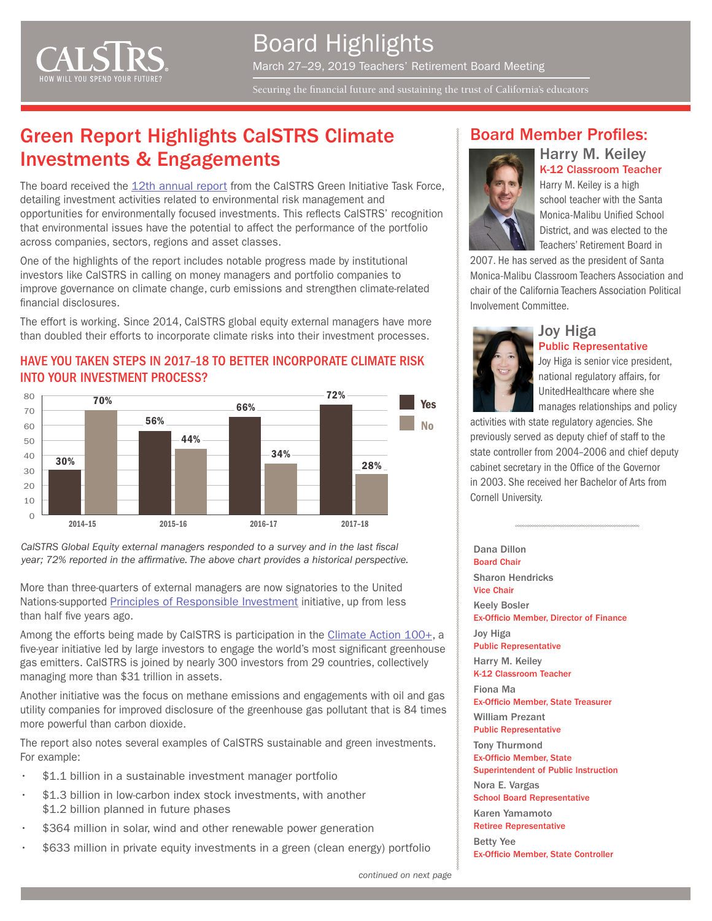

Board Highlights March 27–29, 2019 Teachers' Retirement Board Meeting

Securing the financial future and sustaining the trust of California's educators

# Green Report Highlights CalSTRS Climate Investments & Engagements

The board received the [12th annual report](https://www.calstrs.com/sites/main/files/file-attachments/green_report_2018.pdf) from the CaISTRS Green Initiative Task Force, detailing investment activities related to environmental risk management and opportunities for environmentally focused investments. This reflects CalSTRS' recognition that environmental issues have the potential to affect the performance of the portfolio across companies, sectors, regions and asset classes.

One of the highlights of the report includes notable progress made by institutional investors like CalSTRS in calling on money managers and portfolio companies to improve governance on climate change, curb emissions and strengthen climate-related financial disclosures.

The effort is working. Since 2014, CalSTRS global equity external managers have more than doubled their efforts to incorporate climate risks into their investment processes.

#### HAVE YOU TAKEN STEPS IN 2017–18 TO BETTER INCORPORATE CLIMATE RISK INTO YOUR INVESTMENT PROCESS?



CalSTRS Global Equity external managers responded to a survey and in the last fiscal *year; 72% reported in the affirmative. The above chart provides a historical perspective.*

More than three-quarters of external managers are now signatories to the United Nations-supported [Principles of Responsible Investment](https://www.unpri.org/climate-change) initiative, up from less than half five years ago.

Among the efforts being made by CalSTRS is participation in the [Climate Action 100+,](https://climateaction100.wordpress.com/) a five-year initiative led by large investors to engage the world's most significant greenhouse gas emitters. CalSTRS is joined by nearly 300 investors from 29 countries, collectively managing more than \$31 trillion in assets.

Another initiative was the focus on methane emissions and engagements with oil and gas utility companies for improved disclosure of the greenhouse gas pollutant that is 84 times more powerful than carbon dioxide.

The report also notes several examples of CalSTRS sustainable and green investments. For example:

- \$1.1 billion in a sustainable investment manager portfolio
- \$1.3 billion in low-carbon index stock investments, with another \$1.2 billion planned in future phases
- \$364 million in solar, wind and other renewable power generation
- \$633 million in private equity investments in a green (clean energy) portfolio

#### Board Member Profiles:



Harry M. Keiley K-12 Classroom Teacher Harry M. Keiley is a high

school teacher with the Santa Monica-Malibu Unified School District, and was elected to the Teachers' Retirement Board in

2007. He has served as the president of Santa Monica-Malibu Classroom Teachers Association and chair of the California Teachers Association Political Involvement Committee.

#### Joy Higa Public Representative



Joy Higa is senior vice president, national regulatory affairs, for UnitedHealthcare where she manages relationships and policy

activities with state regulatory agencies. She previously served as deputy chief of staff to the state controller from 2004–2006 and chief deputy cabinet secretary in the Office of the Governor in 2003. She received her Bachelor of Arts from Cornell University.

Dana Dillon Board Chair Sharon Hendricks Vice Chair Keely Bosler Ex-Officio Member, Director of Finance Joy Higa Public Representative Harry M. Keiley K-12 Classroom Teacher Fiona Ma Ex-Officio Member, State Treasurer William Prezant Public Representative

Tony Thurmond Ex-Officio Member, State

Superintendent of Public Instruction Nora E. Vargas

School Board Representative

Karen Yamamoto Retiree Representative

Betty Yee Ex-Officio Member, State Controller